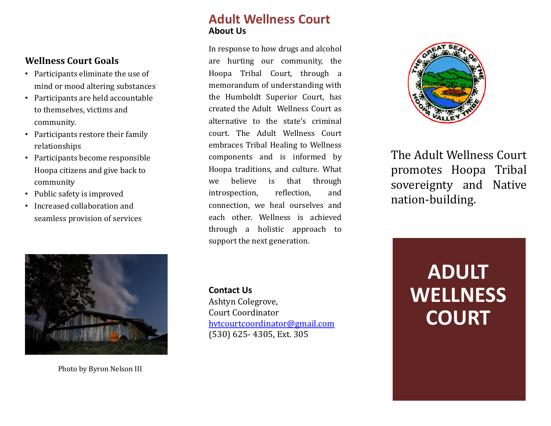#### **Wellness Court Goals**

- Participants eliminate the use of mind or mood altering substances
- Participants are held accountable to themselves, victims and community.
- Participants restore their family relationships
- Participants become responsible Hoopa citizens and give back to community
- Public safety is improved
- Increased collaboration and seamless provision of services

# **Adult Wellness Court About Us**

In response to how drugs and alcohol are hurting our community, the Hoopa Tribal Court, through a memorandum of understanding with the Humboldt Superior Court, has created the Adult Wellness Court as alternative to the state's criminal court. The Adult Wellness Court embraces Tribal Healing to Wellness components and is informed by Hoopa traditions, and culture. What we believe is that through introspection, reflection, and [connection,](mailto:hvtcourtcoordinator@gmail.com) we heal ourselves and each other. Wellness is achieved through a holistic approach to support the next generation.

**Contact Us** Ashtyn Colegrove, Court Coordinator hvtcourtcoordinator@gmail.com (530) 625- 4305, Ext. 305



The Ad promo sovere nation



Photo by Byron Nelson III

**W**